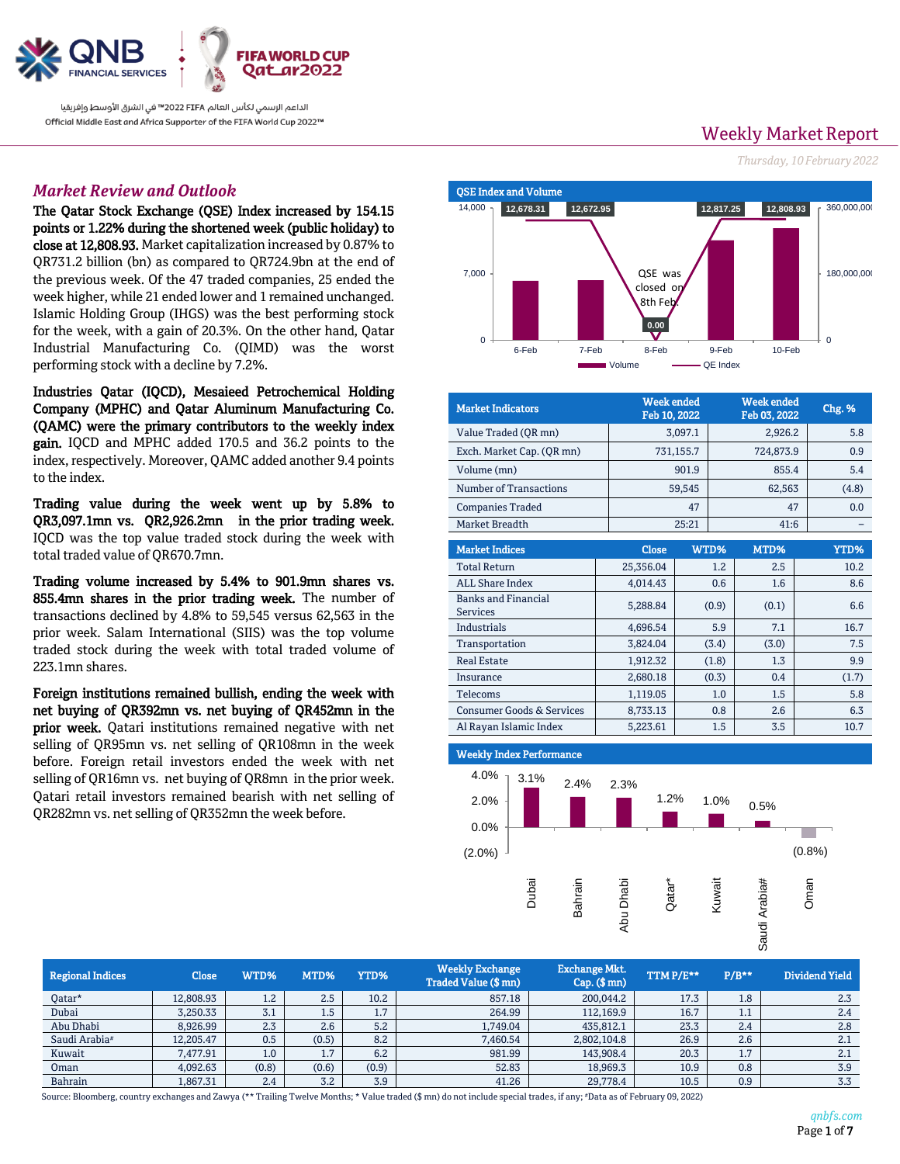

الداعم الرسمي لكأس العالم 2022 FIFA™ في الشرق الأوسط وإفريقيا Official Middle East and Africa Supporter of the FIFA World Cup 2022™

# *Market Review and Outlook*

The Qatar Stock Exchange (QSE) Index increased by 154.15 points or 1.22% during the shortened week (public holiday) to close at 12,808.93. Market capitalization increased by 0.87% to QR731.2 billion (bn) as compared to QR724.9bn at the end of the previous week. Of the 47 traded companies, 25 ended the week higher, while 21 ended lower and 1 remained unchanged. Islamic Holding Group (IHGS) was the best performing stock for the week, with a gain of 20.3%. On the other hand, Qatar Industrial Manufacturing Co. (QIMD) was the worst performing stock with a decline by 7.2%.

Industries Qatar (IQCD), Mesaieed Petrochemical Holding Company (MPHC) and Qatar Aluminum Manufacturing Co. (QAMC) were the primary contributors to the weekly index gain. IQCD and MPHC added 170.5 and 36.2 points to the index, respectively. Moreover, QAMC added another 9.4 points to the index.

Trading value during the week went up by 5.8% to QR3,097.1mn vs. QR2,926.2mn in the prior trading week. IQCD was the top value traded stock during the week with total traded value of QR670.7mn.

Trading volume increased by 5.4% to 901.9mn shares vs. 855.4mn shares in the prior trading week. The number of transactions declined by 4.8% to 59,545 versus 62,563 in the prior week. Salam International (SIIS) was the top volume traded stock during the week with total traded volume of 223.1mn shares.

Foreign institutions remained bullish, ending the week with net buying of QR392mn vs. net buying of QR452mn in the prior week. Qatari institutions remained negative with net selling of QR95mn vs. net selling of QR108mn in the week before. Foreign retail investors ended the week with net selling of QR16mn vs. net buying of QR8mn in the prior week. Qatari retail investors remained bearish with net selling of QR282mn vs. net selling of QR352mn the week before.

 QSE Index and Volume **12,678.31 12,672.95 0.00 12,817.25 12,808.93**  $\Omega$ 180,000,000 360,000,000  $\Omega$ 7,000 14,000 QSE was closed on 8th Feb.

> 6-Feb 7-Feb 8-Feb 9-Feb 10-Feb Volume **- QE Index**

| <b>Market Indicators</b>                      |              | <b>Week ended</b><br>Feb 10, 2022 |           |       | <b>Week ended</b><br>Feb 03, 2022 |             |  |  |
|-----------------------------------------------|--------------|-----------------------------------|-----------|-------|-----------------------------------|-------------|--|--|
| Value Traded (OR mn)                          |              | 3,097.1                           | 2,926.2   |       |                                   | 5.8         |  |  |
| Exch. Market Cap. (QR mn)                     |              | 731,155.7                         | 724,873.9 |       |                                   | 0.9         |  |  |
| Volume (mn)                                   |              | 901.9                             | 855.4     |       |                                   | 5.4         |  |  |
| Number of Transactions                        |              | 59,545                            | 62,563    |       |                                   | (4.8)       |  |  |
| <b>Companies Traded</b>                       |              | 47                                |           | 47    |                                   | 0.0         |  |  |
| Market Breadth                                |              | 25:21                             | 41:6      |       |                                   |             |  |  |
| <b>Market Indices</b>                         | <b>Close</b> | WTD%                              |           | MTD%  |                                   | <b>YTD%</b> |  |  |
| <b>Total Return</b>                           | 25,356.04    |                                   | 1.2       | 2.5   |                                   | 10.2        |  |  |
| <b>ALL Share Index</b>                        | 4,014.43     |                                   | 0.6       | 1.6   |                                   | 8.6         |  |  |
| <b>Banks and Financial</b><br><b>Services</b> | 5,288.84     |                                   | (0.9)     | (0.1) |                                   | 6.6         |  |  |
| Industrials                                   | 4,696.54     |                                   | 5.9       | 7.1   |                                   | 16.7        |  |  |
| Transportation                                | 3,824.04     |                                   | (3.4)     | (3.0) |                                   | 7.5         |  |  |
| <b>Real Estate</b>                            | 1,912.32     |                                   | (1.8)     | 1.3   |                                   | 9.9         |  |  |
| Insurance                                     | 2,680.18     |                                   | (0.3)     | 0.4   |                                   | (1.7)       |  |  |
| Telecoms                                      | 1,119.05     |                                   | 1.0       | 1.5   |                                   | 5.8         |  |  |
| <b>Consumer Goods &amp; Services</b>          | 8,733.13     |                                   | 0.8       | 2.6   |                                   | 6.3         |  |  |
| Al Rayan Islamic Index                        | 5,223.61     |                                   | 1.5       | 3.5   |                                   | 10.7        |  |  |

 $\overline{1}$ Weekly Index Performance



| <b>Regional Indices</b>   | Close     | WTD%  | MTD%  | YTD%             | <b>Weekly Exchange</b><br><b>Traded Value (\$mn)</b> | <b>Exchange Mkt.</b><br>$Cap.$ (\$ mn) | TTMP/E** | $P/B**$ | Dividend Yield |
|---------------------------|-----------|-------|-------|------------------|------------------------------------------------------|----------------------------------------|----------|---------|----------------|
| Qatar*                    | 12.808.93 | 1.2   | 2.5   | 10.2             | 857.18                                               | 200,044.2                              | 17.3     | 1.8     | 2.3            |
| Dubai                     | 3,250.33  | 3.1   | 1.5   | $\mathbf{z}$<br> | 264.99                                               | 112,169.9                              | 16.7     | 1.1     | 2.4            |
| Abu Dhabi                 | 8,926.99  | 2.3   | 2.6   | 5.2              | 1,749.04                                             | 435,812.1                              | 23.3     | 2.4     | 2.8            |
| Saudi Arabia <sup>#</sup> | 12,205.47 | 0.5   | (0.5) | 8.2              | 7,460.54                                             | 2,802,104.8                            | 26.9     | 2.6     | 2.1            |
| Kuwait                    | 7,477.91  | 1.0   | 1.7   | 6.2              | 981.99                                               | 143,908.4                              | 20.3     | 7       | 2.1            |
| Oman                      | 4,092.63  | (0.8) | (0.6) | (0.9)            | 52.83                                                | 18,969.3                               | 10.9     | 0.8     | 3.9            |
| Bahrain                   | 1,867.31  | 2.4   | 3.2   | 3.9              | 41.26                                                | 29,778.4                               | 10.5     | 0.9     | 3.3            |

Source: Bloomberg, country exchanges and Zawya (\*\* Trailing Twelve Months; \* Value traded (\$ mn) do not include special trades, if any; #Data as of February 09, 2022)

# **Weekly Market Report** *Thursday, 10 February 2022*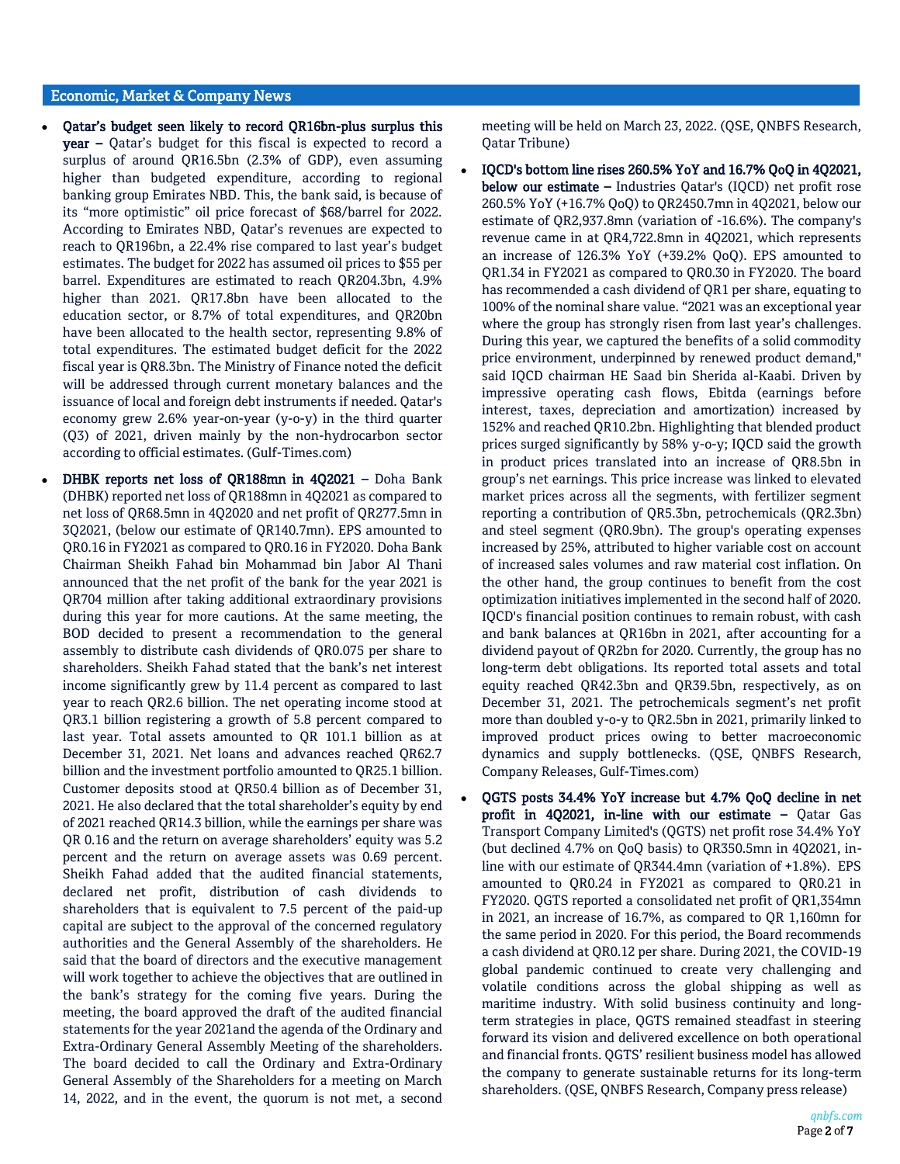## Economic, Market & Company News

- Qatar's budget seen likely to record QR16bn-plus surplus this year – Qatar's budget for this fiscal is expected to record a surplus of around QR16.5bn (2.3% of GDP), even assuming higher than budgeted expenditure, according to regional banking group Emirates NBD. This, the bank said, is because of its "more optimistic" oil price forecast of \$68/barrel for 2022. According to Emirates NBD, Qatar's revenues are expected to reach to QR196bn, a 22.4% rise compared to last year's budget estimates. The budget for 2022 has assumed oil prices to \$55 per barrel. Expenditures are estimated to reach QR204.3bn, 4.9% higher than 2021. QR17.8bn have been allocated to the education sector, or 8.7% of total expenditures, and QR20bn have been allocated to the health sector, representing 9.8% of total expenditures. The estimated budget deficit for the 2022 fiscal year is QR8.3bn. The Ministry of Finance noted the deficit will be addressed through current monetary balances and the issuance of local and foreign debt instruments if needed. Qatar's economy grew 2.6% year-on-year (y-o-y) in the third quarter (Q3) of 2021, driven mainly by the non-hydrocarbon sector according to official estimates. (Gulf-Times.com)
- DHBK reports net loss of QR188mn in 4Q2021 Doha Bank (DHBK) reported net loss of QR188mn in 4Q2021 as compared to net loss of QR68.5mn in 4Q2020 and net profit of QR277.5mn in 3Q2021, (below our estimate of QR140.7mn). EPS amounted to QR0.16 in FY2021 as compared to QR0.16 in FY2020. Doha Bank Chairman Sheikh Fahad bin Mohammad bin Jabor Al Thani announced that the net profit of the bank for the year 2021 is QR704 million after taking additional extraordinary provisions during this year for more cautions. At the same meeting, the BOD decided to present a recommendation to the general assembly to distribute cash dividends of QR0.075 per share to shareholders. Sheikh Fahad stated that the bank's net interest income significantly grew by 11.4 percent as compared to last year to reach QR2.6 billion. The net operating income stood at QR3.1 billion registering a growth of 5.8 percent compared to last year. Total assets amounted to QR 101.1 billion as at December 31, 2021. Net loans and advances reached QR62.7 billion and the investment portfolio amounted to QR25.1 billion. Customer deposits stood at QR50.4 billion as of December 31, 2021. He also declared that the total shareholder's equity by end of 2021 reached QR14.3 billion, while the earnings per share was QR 0.16 and the return on average shareholders' equity was 5.2 percent and the return on average assets was 0.69 percent. Sheikh Fahad added that the audited financial statements, declared net profit, distribution of cash dividends to shareholders that is equivalent to 7.5 percent of the paid-up capital are subject to the approval of the concerned regulatory authorities and the General Assembly of the shareholders. He said that the board of directors and the executive management will work together to achieve the objectives that are outlined in the bank's strategy for the coming five years. During the meeting, the board approved the draft of the audited financial statements for the year 2021and the agenda of the Ordinary and Extra-Ordinary General Assembly Meeting of the shareholders. The board decided to call the Ordinary and Extra-Ordinary General Assembly of the Shareholders for a meeting on March 14, 2022, and in the event, the quorum is not met, a second

meeting will be held on March 23, 2022. (QSE, QNBFS Research, Qatar Tribune)

- IQCD's bottom line rises 260.5% YoY and 16.7% QoQ in 4Q2021, below our estimate – Industries Qatar's (IQCD) net profit rose 260.5% YoY (+16.7% QoQ) to QR2450.7mn in 4Q2021, below our estimate of QR2,937.8mn (variation of -16.6%). The company's revenue came in at QR4,722.8mn in 4Q2021, which represents an increase of 126.3% YoY (+39.2% QoQ). EPS amounted to QR1.34 in FY2021 as compared to QR0.30 in FY2020. The board has recommended a cash dividend of QR1 per share, equating to 100% of the nominal share value. "2021 was an exceptional year where the group has strongly risen from last year's challenges. During this year, we captured the benefits of a solid commodity price environment, underpinned by renewed product demand," said IQCD chairman HE Saad bin Sherida al-Kaabi. Driven by impressive operating cash flows, Ebitda (earnings before interest, taxes, depreciation and amortization) increased by 152% and reached QR10.2bn. Highlighting that blended product prices surged significantly by 58% y-o-y; IQCD said the growth in product prices translated into an increase of QR8.5bn in group's net earnings. This price increase was linked to elevated market prices across all the segments, with fertilizer segment reporting a contribution of QR5.3bn, petrochemicals (QR2.3bn) and steel segment (QR0.9bn). The group's operating expenses increased by 25%, attributed to higher variable cost on account of increased sales volumes and raw material cost inflation. On the other hand, the group continues to benefit from the cost optimization initiatives implemented in the second half of 2020. IQCD's financial position continues to remain robust, with cash and bank balances at QR16bn in 2021, after accounting for a dividend payout of QR2bn for 2020. Currently, the group has no long-term debt obligations. Its reported total assets and total equity reached QR42.3bn and QR39.5bn, respectively, as on December 31, 2021. The petrochemicals segment's net profit more than doubled y-o-y to QR2.5bn in 2021, primarily linked to improved product prices owing to better macroeconomic dynamics and supply bottlenecks. (QSE, QNBFS Research, Company Releases, Gulf-Times.com)
- QGTS posts 34.4% YoY increase but 4.7% QoQ decline in net profit in 4Q2021, in-line with our estimate – Qatar Gas Transport Company Limited's (QGTS) net profit rose 34.4% YoY (but declined 4.7% on QoQ basis) to QR350.5mn in 4Q2021, inline with our estimate of QR344.4mn (variation of +1.8%). EPS amounted to QR0.24 in FY2021 as compared to QR0.21 in FY2020. QGTS reported a consolidated net profit of QR1,354mn in 2021, an increase of 16.7%, as compared to QR 1,160mn for the same period in 2020. For this period, the Board recommends a cash dividend at QR0.12 per share. During 2021, the COVID-19 global pandemic continued to create very challenging and volatile conditions across the global shipping as well as maritime industry. With solid business continuity and longterm strategies in place, QGTS remained steadfast in steering forward its vision and delivered excellence on both operational and financial fronts. QGTS' resilient business model has allowed the company to generate sustainable returns for its long-term shareholders. (QSE, QNBFS Research, Company press release)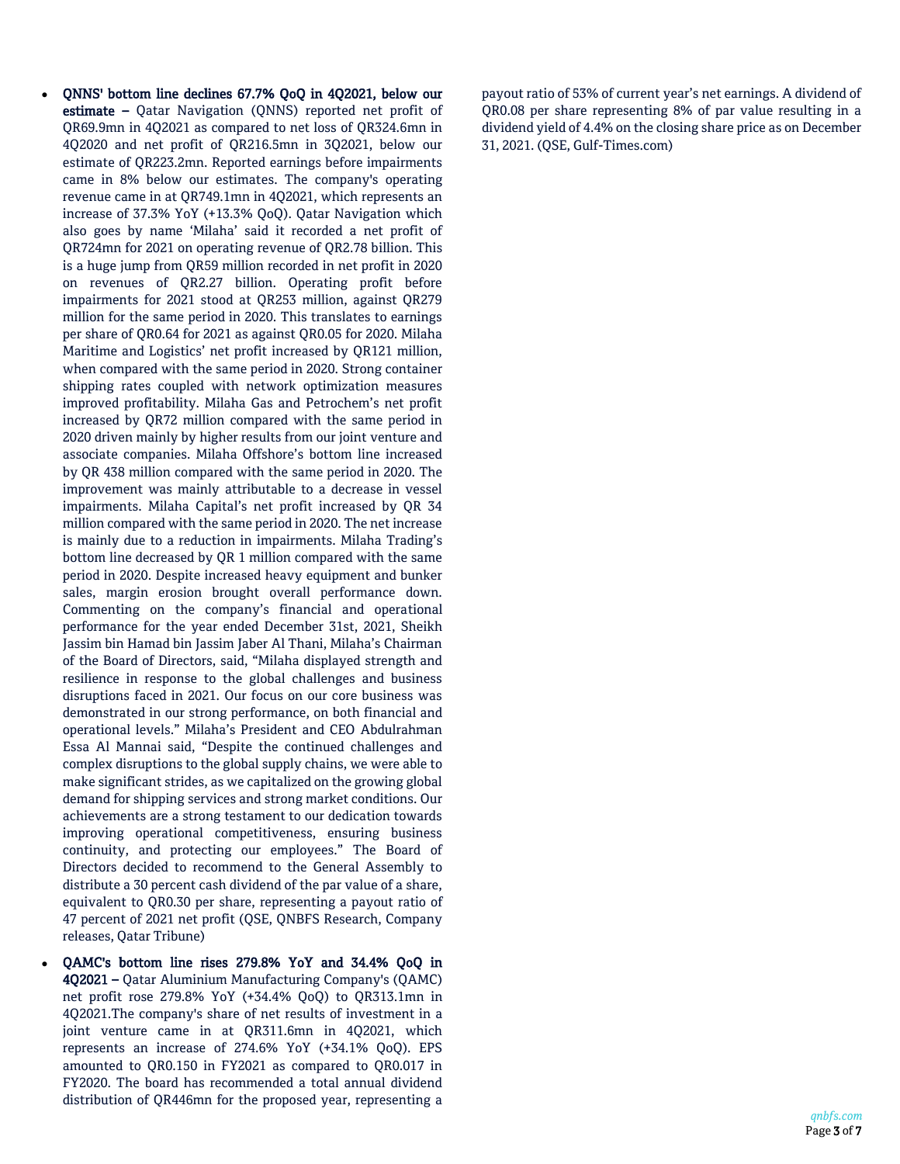- QNNS' bottom line declines 67.7% QoQ in 4Q2021, below our estimate - Qatar Navigation (QNNS) reported net profit of QR69.9mn in 4Q2021 as compared to net loss of QR324.6mn in 4Q2020 and net profit of QR216.5mn in 3Q2021, below our estimate of QR223.2mn. Reported earnings before impairments came in 8% below our estimates. The company's operating revenue came in at QR749.1mn in 4Q2021, which represents an increase of 37.3% YoY (+13.3% QoQ). Qatar Navigation which also goes by name 'Milaha' said it recorded a net profit of QR724mn for 2021 on operating revenue of QR2.78 billion. This is a huge jump from QR59 million recorded in net profit in 2020 on revenues of QR2.27 billion. Operating profit before impairments for 2021 stood at QR253 million, against QR279 million for the same period in 2020. This translates to earnings per share of QR0.64 for 2021 as against QR0.05 for 2020. Milaha Maritime and Logistics' net profit increased by QR121 million, when compared with the same period in 2020. Strong container shipping rates coupled with network optimization measures improved profitability. Milaha Gas and Petrochem's net profit increased by QR72 million compared with the same period in 2020 driven mainly by higher results from our joint venture and associate companies. Milaha Offshore's bottom line increased by QR 438 million compared with the same period in 2020. The improvement was mainly attributable to a decrease in vessel impairments. Milaha Capital's net profit increased by QR 34 million compared with the same period in 2020. The net increase is mainly due to a reduction in impairments. Milaha Trading's bottom line decreased by QR 1 million compared with the same period in 2020. Despite increased heavy equipment and bunker sales, margin erosion brought overall performance down. Commenting on the company's financial and operational performance for the year ended December 31st, 2021, Sheikh Jassim bin Hamad bin Jassim Jaber Al Thani, Milaha's Chairman of the Board of Directors, said, "Milaha displayed strength and resilience in response to the global challenges and business disruptions faced in 2021. Our focus on our core business was demonstrated in our strong performance, on both financial and operational levels." Milaha's President and CEO Abdulrahman Essa Al Mannai said, "Despite the continued challenges and complex disruptions to the global supply chains, we were able to make significant strides, as we capitalized on the growing global demand for shipping services and strong market conditions. Our achievements are a strong testament to our dedication towards improving operational competitiveness, ensuring business continuity, and protecting our employees." The Board of Directors decided to recommend to the General Assembly to distribute a 30 percent cash dividend of the par value of a share, equivalent to QR0.30 per share, representing a payout ratio of 47 percent of 2021 net profit (QSE, QNBFS Research, Company releases, Qatar Tribune)
- QAMC's bottom line rises 279.8% YoY and 34.4% QoQ in 4Q2021 – Qatar Aluminium Manufacturing Company's (QAMC) net profit rose 279.8% YoY (+34.4% QoQ) to QR313.1mn in 4Q2021.The company's share of net results of investment in a joint venture came in at QR311.6mn in 4Q2021, which represents an increase of 274.6% YoY (+34.1% QoQ). EPS amounted to QR0.150 in FY2021 as compared to QR0.017 in FY2020. The board has recommended a total annual dividend distribution of QR446mn for the proposed year, representing a

payout ratio of 53% of current year's net earnings. A dividend of QR0.08 per share representing 8% of par value resulting in a dividend yield of 4.4% on the closing share price as on December 31, 2021. (QSE, Gulf-Times.com)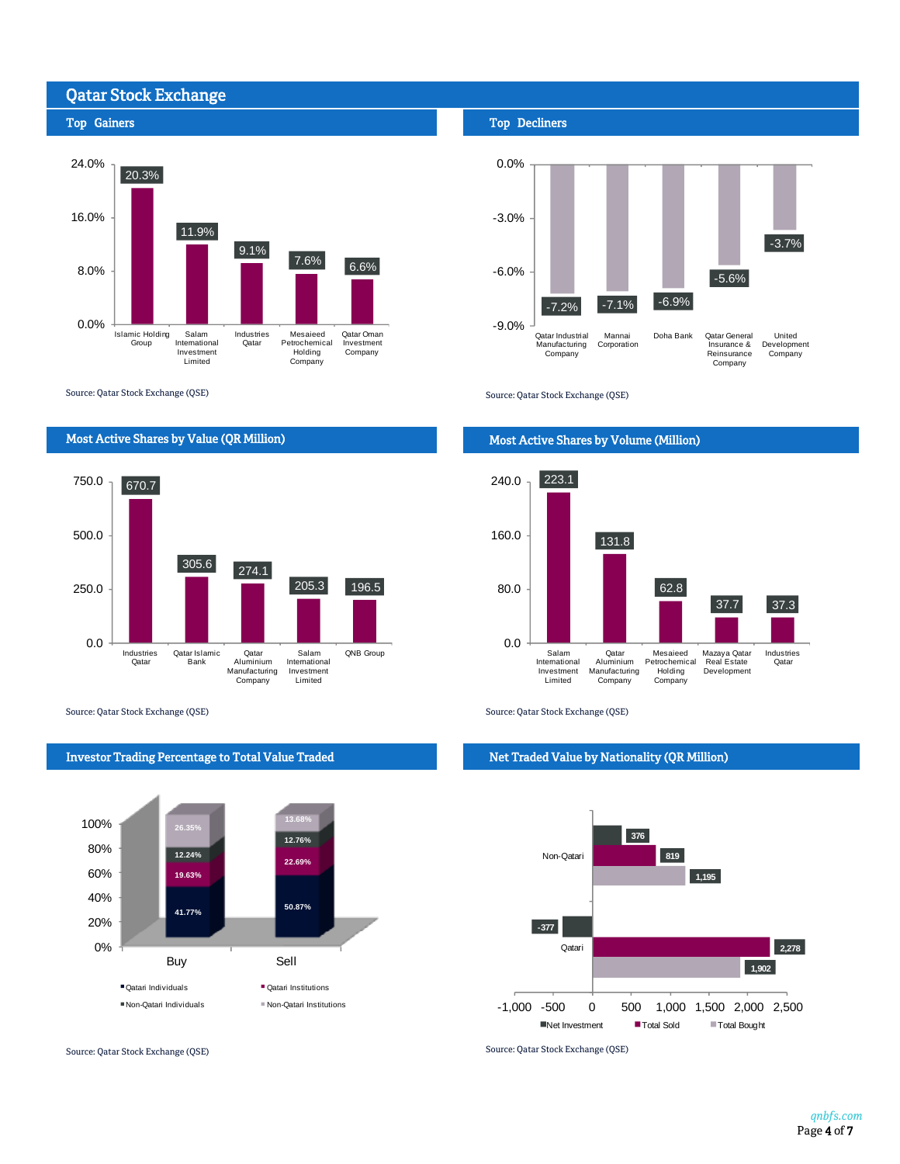# Qatar Stock Exchange

## Top Gainers



Source: Qatar Stock Exchange (QSE)



Source: Qatar Stock Exchange (QSE) Source: Qatar Stock Exchange (QSE)



Investor Trading Percentage to Total Value Traded

### Top Decliners



Source: Qatar Stock Exchange (QSE)

## Most Active Shares by Volume (Million)



#### Net Traded Value by Nationality (QR Million)



Source: Qatar Stock Exchange (QSE) Source: Qatar Stock Exchange (QSE)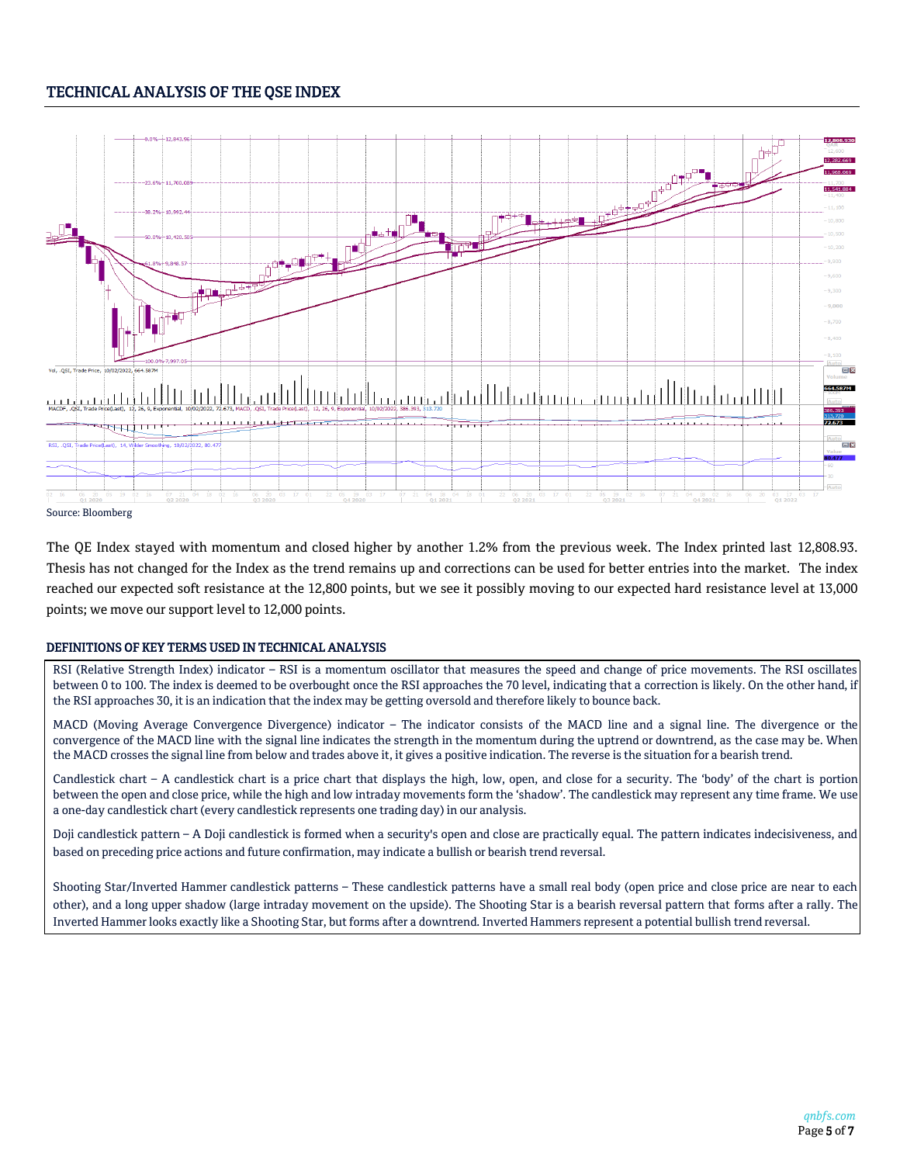# TECHNICAL ANALYSIS OF THE QSE INDEX



The QE Index stayed with momentum and closed higher by another 1.2% from the previous week. The Index printed last 12,808.93. Thesis has not changed for the Index as the trend remains up and corrections can be used for better entries into the market. The index reached our expected soft resistance at the 12,800 points, but we see it possibly moving to our expected hard resistance level at 13,000 points; we move our support level to 12,000 points.

### DEFINITIONS OF KEY TERMS USED IN TECHNICAL ANALYSIS

RSI (Relative Strength Index) indicator – RSI is a momentum oscillator that measures the speed and change of price movements. The RSI oscillates between 0 to 100. The index is deemed to be overbought once the RSI approaches the 70 level, indicating that a correction is likely. On the other hand, if the RSI approaches 30, it is an indication that the index may be getting oversold and therefore likely to bounce back.

MACD (Moving Average Convergence Divergence) indicator – The indicator consists of the MACD line and a signal line. The divergence or the convergence of the MACD line with the signal line indicates the strength in the momentum during the uptrend or downtrend, as the case may be. When the MACD crosses the signal line from below and trades above it, it gives a positive indication. The reverse is the situation for a bearish trend.

Candlestick chart – A candlestick chart is a price chart that displays the high, low, open, and close for a security. The 'body' of the chart is portion between the open and close price, while the high and low intraday movements form the 'shadow'. The candlestick may represent any time frame. We use a one-day candlestick chart (every candlestick represents one trading day) in our analysis.

Doji candlestick pattern – A Doji candlestick is formed when a security's open and close are practically equal. The pattern indicates indecisiveness, and based on preceding price actions and future confirmation, may indicate a bullish or bearish trend reversal.

Shooting Star/Inverted Hammer candlestick patterns – These candlestick patterns have a small real body (open price and close price are near to each other), and a long upper shadow (large intraday movement on the upside). The Shooting Star is a bearish reversal pattern that forms after a rally. The Inverted Hammer looks exactly like a Shooting Star, but forms after a downtrend. Inverted Hammers represent a potential bullish trend reversal.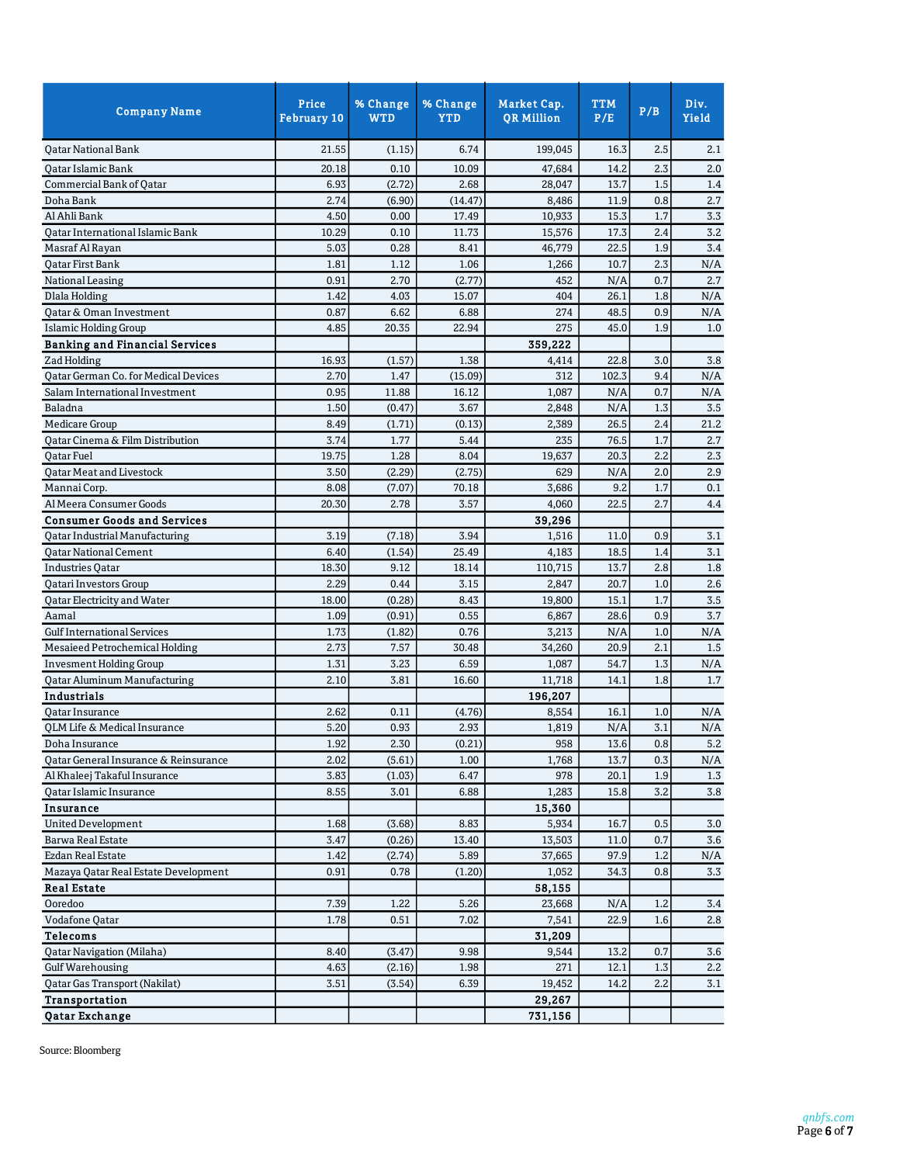| 21.55<br>199,045<br>16.3<br>2.5<br><b>Oatar National Bank</b><br>(1.15)<br>6.74<br>2.3<br>20.18<br>0.10<br>14.2<br>Qatar Islamic Bank<br>10.09<br>47,684<br>1.5<br>Commercial Bank of Qatar<br>6.93<br>(2.72)<br>2.68<br>28,047<br>13.7<br>(6.90)<br>0.8<br>2.74<br>(14.47)<br>8,486<br>11.9<br>Doha Bank<br>4.50<br>15.3<br>1.7<br>Al Ahli Bank<br>0.00<br>17.49<br>10,933<br>Qatar International Islamic Bank<br>10.29<br>0.10<br>17.3<br>2.4<br>11.73<br>15,576<br>Masraf Al Rayan<br>5.03<br>0.28<br>46,779<br>22.5<br>1.9<br>8.41<br>1.12<br>2.3<br><b>Qatar First Bank</b><br>1.81<br>1.06<br>1,266<br>10.7<br>2.70<br>0.7<br>0.91<br>(2.77)<br>452<br>N/A<br>National Leasing<br>1.42<br>4.03<br>404<br>26.1<br>1.8<br><b>Dlala Holding</b><br>15.07<br>0.87<br>6.62<br>6.88<br>274<br>48.5<br>0.9<br>Qatar & Oman Investment<br><b>Islamic Holding Group</b><br>4.85<br>20.35<br>22.94<br>275<br>45.0<br>1.9<br>359,222<br><b>Banking and Financial Services</b><br>16.93<br>(1.57)<br>1.38<br>22.8<br>3.0<br>Zad Holding<br>4,414<br>Qatar German Co. for Medical Devices<br>2.70<br>1.47<br>(15.09)<br>312<br>102.3<br>9.4<br>Salam International Investment<br>0.95<br>11.88<br>16.12<br>1,087<br>N/A<br>0.7<br>1.50<br>1.3<br>3.5<br>(0.47)<br>3.67<br>2,848<br>N/A<br>Baladna<br><b>Medicare Group</b><br>(1.71)<br>8.49<br>(0.13)<br>26.5<br>2.4<br>21.2<br>2,389<br>1.7<br>Qatar Cinema & Film Distribution<br>3.74<br>1.77<br>5.44<br>235<br>76.5<br>2.7<br>1.28<br>2.2<br>19.75<br>8.04<br>19,637<br>20.3<br>2.3<br><b>Oatar Fuel</b><br><b>Qatar Meat and Livestock</b><br>3.50<br>(2.29)<br>(2.75)<br>2.9<br>629<br>N/A<br>2.0<br>8.08<br>(7.07)<br>9.2<br>1.7<br>0.1<br>Mannai Corp.<br>70.18<br>3,686<br>Al Meera Consumer Goods<br>20.30<br>2.78<br>3.57<br>4,060<br>22.5<br>2.7<br>4.4<br><b>Consumer Goods and Services</b><br>39,296<br>3.19<br>(7.18)<br>3.94<br>11.0<br>0.9<br>Qatar Industrial Manufacturing<br>1,516<br>3.1<br>3.1<br>(1.54)<br>25.49<br>18.5<br><b>Qatar National Cement</b><br>6.40<br>4,183<br>1.4<br>18.30<br>9.12<br>13.7<br>2.8<br>1.8<br><b>Industries Qatar</b><br>18.14<br>110,715<br>2.29<br>Qatari Investors Group<br>0.44<br>20.7<br>1.0<br>2.6<br>3.15<br>2,847<br>18.00<br>(0.28)<br>1.7<br>3.5<br>Qatar Electricity and Water<br>8.43<br>19,800<br>15.1<br>1.09<br>(0.91)<br>0.9<br>Aamal<br>0.55<br>28.6<br>6,867<br>1.73<br><b>Gulf International Services</b><br>(1.82)<br>0.76<br>3,213<br>N/A<br>1.0<br>2.73<br>7.57<br>Mesaieed Petrochemical Holding<br>30.48<br>34,260<br>20.9<br>2.1<br>3.23<br>1.3<br><b>Invesment Holding Group</b><br>1.31<br>54.7<br>N/A<br>6.59<br>1,087<br><b>Qatar Aluminum Manufacturing</b><br>2.10<br>3.81<br>16.60<br>14.1<br>1.8<br>11,718<br>Industrials<br>196,207<br>2.62<br>0.11<br>(4.76)<br>8,554<br>16.1<br>1.0<br>N/A<br>Qatar Insurance<br>5.20<br>0.93<br>3.1<br>N/A<br>QLM Life & Medical Insurance<br>2.93<br>1,819<br>N/A<br>Doha Insurance<br>1.92<br>2.30<br>(0.21)<br>958<br>13.6<br>0.8<br>5.2<br>Qatar General Insurance & Reinsurance<br>2.02<br>(5.61)<br>1,768<br>13.7<br>0.3<br>N/A<br>1.00<br>3.83<br>Al Khaleej Takaful Insurance<br>(1.03)<br>6.47<br>978<br>20.1<br>1.9<br>8.55<br>$3.2\,$<br>Qatar Islamic Insurance<br>3.01<br>1,283<br>15.8<br>6.88<br>Insurance<br>15,360 | <b>Company Name</b>       | Price<br><b>February 10</b> | % Change<br><b>WTD</b> | % Change<br><b>YTD</b> | <b>Market Cap.</b><br><b>QR Million</b> | <b>TTM</b><br>P/E | P/B | Div.<br>Yield |
|----------------------------------------------------------------------------------------------------------------------------------------------------------------------------------------------------------------------------------------------------------------------------------------------------------------------------------------------------------------------------------------------------------------------------------------------------------------------------------------------------------------------------------------------------------------------------------------------------------------------------------------------------------------------------------------------------------------------------------------------------------------------------------------------------------------------------------------------------------------------------------------------------------------------------------------------------------------------------------------------------------------------------------------------------------------------------------------------------------------------------------------------------------------------------------------------------------------------------------------------------------------------------------------------------------------------------------------------------------------------------------------------------------------------------------------------------------------------------------------------------------------------------------------------------------------------------------------------------------------------------------------------------------------------------------------------------------------------------------------------------------------------------------------------------------------------------------------------------------------------------------------------------------------------------------------------------------------------------------------------------------------------------------------------------------------------------------------------------------------------------------------------------------------------------------------------------------------------------------------------------------------------------------------------------------------------------------------------------------------------------------------------------------------------------------------------------------------------------------------------------------------------------------------------------------------------------------------------------------------------------------------------------------------------------------------------------------------------------------------------------------------------------------------------------------------------------------------------------------------------------------------------------------------------------------------------------------------------------------------------------------------------------------------------------------------------------------------------------------------------------------------------------------------------------------------------------------------------------------------------------------------------------------------------------------|---------------------------|-----------------------------|------------------------|------------------------|-----------------------------------------|-------------------|-----|---------------|
|                                                                                                                                                                                                                                                                                                                                                                                                                                                                                                                                                                                                                                                                                                                                                                                                                                                                                                                                                                                                                                                                                                                                                                                                                                                                                                                                                                                                                                                                                                                                                                                                                                                                                                                                                                                                                                                                                                                                                                                                                                                                                                                                                                                                                                                                                                                                                                                                                                                                                                                                                                                                                                                                                                                                                                                                                                                                                                                                                                                                                                                                                                                                                                                                                                                                                                          |                           |                             |                        |                        |                                         |                   |     | 2.1           |
|                                                                                                                                                                                                                                                                                                                                                                                                                                                                                                                                                                                                                                                                                                                                                                                                                                                                                                                                                                                                                                                                                                                                                                                                                                                                                                                                                                                                                                                                                                                                                                                                                                                                                                                                                                                                                                                                                                                                                                                                                                                                                                                                                                                                                                                                                                                                                                                                                                                                                                                                                                                                                                                                                                                                                                                                                                                                                                                                                                                                                                                                                                                                                                                                                                                                                                          |                           |                             |                        |                        |                                         |                   |     | 2.0           |
|                                                                                                                                                                                                                                                                                                                                                                                                                                                                                                                                                                                                                                                                                                                                                                                                                                                                                                                                                                                                                                                                                                                                                                                                                                                                                                                                                                                                                                                                                                                                                                                                                                                                                                                                                                                                                                                                                                                                                                                                                                                                                                                                                                                                                                                                                                                                                                                                                                                                                                                                                                                                                                                                                                                                                                                                                                                                                                                                                                                                                                                                                                                                                                                                                                                                                                          |                           |                             |                        |                        |                                         |                   |     | 1.4           |
|                                                                                                                                                                                                                                                                                                                                                                                                                                                                                                                                                                                                                                                                                                                                                                                                                                                                                                                                                                                                                                                                                                                                                                                                                                                                                                                                                                                                                                                                                                                                                                                                                                                                                                                                                                                                                                                                                                                                                                                                                                                                                                                                                                                                                                                                                                                                                                                                                                                                                                                                                                                                                                                                                                                                                                                                                                                                                                                                                                                                                                                                                                                                                                                                                                                                                                          |                           |                             |                        |                        |                                         |                   |     | 2.7           |
|                                                                                                                                                                                                                                                                                                                                                                                                                                                                                                                                                                                                                                                                                                                                                                                                                                                                                                                                                                                                                                                                                                                                                                                                                                                                                                                                                                                                                                                                                                                                                                                                                                                                                                                                                                                                                                                                                                                                                                                                                                                                                                                                                                                                                                                                                                                                                                                                                                                                                                                                                                                                                                                                                                                                                                                                                                                                                                                                                                                                                                                                                                                                                                                                                                                                                                          |                           |                             |                        |                        |                                         |                   |     | 3.3           |
|                                                                                                                                                                                                                                                                                                                                                                                                                                                                                                                                                                                                                                                                                                                                                                                                                                                                                                                                                                                                                                                                                                                                                                                                                                                                                                                                                                                                                                                                                                                                                                                                                                                                                                                                                                                                                                                                                                                                                                                                                                                                                                                                                                                                                                                                                                                                                                                                                                                                                                                                                                                                                                                                                                                                                                                                                                                                                                                                                                                                                                                                                                                                                                                                                                                                                                          |                           |                             |                        |                        |                                         |                   |     | 3.2           |
|                                                                                                                                                                                                                                                                                                                                                                                                                                                                                                                                                                                                                                                                                                                                                                                                                                                                                                                                                                                                                                                                                                                                                                                                                                                                                                                                                                                                                                                                                                                                                                                                                                                                                                                                                                                                                                                                                                                                                                                                                                                                                                                                                                                                                                                                                                                                                                                                                                                                                                                                                                                                                                                                                                                                                                                                                                                                                                                                                                                                                                                                                                                                                                                                                                                                                                          |                           |                             |                        |                        |                                         |                   |     | 3.4           |
|                                                                                                                                                                                                                                                                                                                                                                                                                                                                                                                                                                                                                                                                                                                                                                                                                                                                                                                                                                                                                                                                                                                                                                                                                                                                                                                                                                                                                                                                                                                                                                                                                                                                                                                                                                                                                                                                                                                                                                                                                                                                                                                                                                                                                                                                                                                                                                                                                                                                                                                                                                                                                                                                                                                                                                                                                                                                                                                                                                                                                                                                                                                                                                                                                                                                                                          |                           |                             |                        |                        |                                         |                   |     | N/A           |
|                                                                                                                                                                                                                                                                                                                                                                                                                                                                                                                                                                                                                                                                                                                                                                                                                                                                                                                                                                                                                                                                                                                                                                                                                                                                                                                                                                                                                                                                                                                                                                                                                                                                                                                                                                                                                                                                                                                                                                                                                                                                                                                                                                                                                                                                                                                                                                                                                                                                                                                                                                                                                                                                                                                                                                                                                                                                                                                                                                                                                                                                                                                                                                                                                                                                                                          |                           |                             |                        |                        |                                         |                   |     | 2.7           |
|                                                                                                                                                                                                                                                                                                                                                                                                                                                                                                                                                                                                                                                                                                                                                                                                                                                                                                                                                                                                                                                                                                                                                                                                                                                                                                                                                                                                                                                                                                                                                                                                                                                                                                                                                                                                                                                                                                                                                                                                                                                                                                                                                                                                                                                                                                                                                                                                                                                                                                                                                                                                                                                                                                                                                                                                                                                                                                                                                                                                                                                                                                                                                                                                                                                                                                          |                           |                             |                        |                        |                                         |                   |     | N/A           |
|                                                                                                                                                                                                                                                                                                                                                                                                                                                                                                                                                                                                                                                                                                                                                                                                                                                                                                                                                                                                                                                                                                                                                                                                                                                                                                                                                                                                                                                                                                                                                                                                                                                                                                                                                                                                                                                                                                                                                                                                                                                                                                                                                                                                                                                                                                                                                                                                                                                                                                                                                                                                                                                                                                                                                                                                                                                                                                                                                                                                                                                                                                                                                                                                                                                                                                          |                           |                             |                        |                        |                                         |                   |     | N/A           |
|                                                                                                                                                                                                                                                                                                                                                                                                                                                                                                                                                                                                                                                                                                                                                                                                                                                                                                                                                                                                                                                                                                                                                                                                                                                                                                                                                                                                                                                                                                                                                                                                                                                                                                                                                                                                                                                                                                                                                                                                                                                                                                                                                                                                                                                                                                                                                                                                                                                                                                                                                                                                                                                                                                                                                                                                                                                                                                                                                                                                                                                                                                                                                                                                                                                                                                          |                           |                             |                        |                        |                                         |                   |     | 1.0           |
|                                                                                                                                                                                                                                                                                                                                                                                                                                                                                                                                                                                                                                                                                                                                                                                                                                                                                                                                                                                                                                                                                                                                                                                                                                                                                                                                                                                                                                                                                                                                                                                                                                                                                                                                                                                                                                                                                                                                                                                                                                                                                                                                                                                                                                                                                                                                                                                                                                                                                                                                                                                                                                                                                                                                                                                                                                                                                                                                                                                                                                                                                                                                                                                                                                                                                                          |                           |                             |                        |                        |                                         |                   |     |               |
|                                                                                                                                                                                                                                                                                                                                                                                                                                                                                                                                                                                                                                                                                                                                                                                                                                                                                                                                                                                                                                                                                                                                                                                                                                                                                                                                                                                                                                                                                                                                                                                                                                                                                                                                                                                                                                                                                                                                                                                                                                                                                                                                                                                                                                                                                                                                                                                                                                                                                                                                                                                                                                                                                                                                                                                                                                                                                                                                                                                                                                                                                                                                                                                                                                                                                                          |                           |                             |                        |                        |                                         |                   |     | 3.8           |
|                                                                                                                                                                                                                                                                                                                                                                                                                                                                                                                                                                                                                                                                                                                                                                                                                                                                                                                                                                                                                                                                                                                                                                                                                                                                                                                                                                                                                                                                                                                                                                                                                                                                                                                                                                                                                                                                                                                                                                                                                                                                                                                                                                                                                                                                                                                                                                                                                                                                                                                                                                                                                                                                                                                                                                                                                                                                                                                                                                                                                                                                                                                                                                                                                                                                                                          |                           |                             |                        |                        |                                         |                   |     | N/A           |
|                                                                                                                                                                                                                                                                                                                                                                                                                                                                                                                                                                                                                                                                                                                                                                                                                                                                                                                                                                                                                                                                                                                                                                                                                                                                                                                                                                                                                                                                                                                                                                                                                                                                                                                                                                                                                                                                                                                                                                                                                                                                                                                                                                                                                                                                                                                                                                                                                                                                                                                                                                                                                                                                                                                                                                                                                                                                                                                                                                                                                                                                                                                                                                                                                                                                                                          |                           |                             |                        |                        |                                         |                   |     | N/A           |
|                                                                                                                                                                                                                                                                                                                                                                                                                                                                                                                                                                                                                                                                                                                                                                                                                                                                                                                                                                                                                                                                                                                                                                                                                                                                                                                                                                                                                                                                                                                                                                                                                                                                                                                                                                                                                                                                                                                                                                                                                                                                                                                                                                                                                                                                                                                                                                                                                                                                                                                                                                                                                                                                                                                                                                                                                                                                                                                                                                                                                                                                                                                                                                                                                                                                                                          |                           |                             |                        |                        |                                         |                   |     |               |
|                                                                                                                                                                                                                                                                                                                                                                                                                                                                                                                                                                                                                                                                                                                                                                                                                                                                                                                                                                                                                                                                                                                                                                                                                                                                                                                                                                                                                                                                                                                                                                                                                                                                                                                                                                                                                                                                                                                                                                                                                                                                                                                                                                                                                                                                                                                                                                                                                                                                                                                                                                                                                                                                                                                                                                                                                                                                                                                                                                                                                                                                                                                                                                                                                                                                                                          |                           |                             |                        |                        |                                         |                   |     |               |
|                                                                                                                                                                                                                                                                                                                                                                                                                                                                                                                                                                                                                                                                                                                                                                                                                                                                                                                                                                                                                                                                                                                                                                                                                                                                                                                                                                                                                                                                                                                                                                                                                                                                                                                                                                                                                                                                                                                                                                                                                                                                                                                                                                                                                                                                                                                                                                                                                                                                                                                                                                                                                                                                                                                                                                                                                                                                                                                                                                                                                                                                                                                                                                                                                                                                                                          |                           |                             |                        |                        |                                         |                   |     |               |
|                                                                                                                                                                                                                                                                                                                                                                                                                                                                                                                                                                                                                                                                                                                                                                                                                                                                                                                                                                                                                                                                                                                                                                                                                                                                                                                                                                                                                                                                                                                                                                                                                                                                                                                                                                                                                                                                                                                                                                                                                                                                                                                                                                                                                                                                                                                                                                                                                                                                                                                                                                                                                                                                                                                                                                                                                                                                                                                                                                                                                                                                                                                                                                                                                                                                                                          |                           |                             |                        |                        |                                         |                   |     |               |
|                                                                                                                                                                                                                                                                                                                                                                                                                                                                                                                                                                                                                                                                                                                                                                                                                                                                                                                                                                                                                                                                                                                                                                                                                                                                                                                                                                                                                                                                                                                                                                                                                                                                                                                                                                                                                                                                                                                                                                                                                                                                                                                                                                                                                                                                                                                                                                                                                                                                                                                                                                                                                                                                                                                                                                                                                                                                                                                                                                                                                                                                                                                                                                                                                                                                                                          |                           |                             |                        |                        |                                         |                   |     |               |
|                                                                                                                                                                                                                                                                                                                                                                                                                                                                                                                                                                                                                                                                                                                                                                                                                                                                                                                                                                                                                                                                                                                                                                                                                                                                                                                                                                                                                                                                                                                                                                                                                                                                                                                                                                                                                                                                                                                                                                                                                                                                                                                                                                                                                                                                                                                                                                                                                                                                                                                                                                                                                                                                                                                                                                                                                                                                                                                                                                                                                                                                                                                                                                                                                                                                                                          |                           |                             |                        |                        |                                         |                   |     |               |
|                                                                                                                                                                                                                                                                                                                                                                                                                                                                                                                                                                                                                                                                                                                                                                                                                                                                                                                                                                                                                                                                                                                                                                                                                                                                                                                                                                                                                                                                                                                                                                                                                                                                                                                                                                                                                                                                                                                                                                                                                                                                                                                                                                                                                                                                                                                                                                                                                                                                                                                                                                                                                                                                                                                                                                                                                                                                                                                                                                                                                                                                                                                                                                                                                                                                                                          |                           |                             |                        |                        |                                         |                   |     |               |
|                                                                                                                                                                                                                                                                                                                                                                                                                                                                                                                                                                                                                                                                                                                                                                                                                                                                                                                                                                                                                                                                                                                                                                                                                                                                                                                                                                                                                                                                                                                                                                                                                                                                                                                                                                                                                                                                                                                                                                                                                                                                                                                                                                                                                                                                                                                                                                                                                                                                                                                                                                                                                                                                                                                                                                                                                                                                                                                                                                                                                                                                                                                                                                                                                                                                                                          |                           |                             |                        |                        |                                         |                   |     |               |
|                                                                                                                                                                                                                                                                                                                                                                                                                                                                                                                                                                                                                                                                                                                                                                                                                                                                                                                                                                                                                                                                                                                                                                                                                                                                                                                                                                                                                                                                                                                                                                                                                                                                                                                                                                                                                                                                                                                                                                                                                                                                                                                                                                                                                                                                                                                                                                                                                                                                                                                                                                                                                                                                                                                                                                                                                                                                                                                                                                                                                                                                                                                                                                                                                                                                                                          |                           |                             |                        |                        |                                         |                   |     |               |
|                                                                                                                                                                                                                                                                                                                                                                                                                                                                                                                                                                                                                                                                                                                                                                                                                                                                                                                                                                                                                                                                                                                                                                                                                                                                                                                                                                                                                                                                                                                                                                                                                                                                                                                                                                                                                                                                                                                                                                                                                                                                                                                                                                                                                                                                                                                                                                                                                                                                                                                                                                                                                                                                                                                                                                                                                                                                                                                                                                                                                                                                                                                                                                                                                                                                                                          |                           |                             |                        |                        |                                         |                   |     |               |
|                                                                                                                                                                                                                                                                                                                                                                                                                                                                                                                                                                                                                                                                                                                                                                                                                                                                                                                                                                                                                                                                                                                                                                                                                                                                                                                                                                                                                                                                                                                                                                                                                                                                                                                                                                                                                                                                                                                                                                                                                                                                                                                                                                                                                                                                                                                                                                                                                                                                                                                                                                                                                                                                                                                                                                                                                                                                                                                                                                                                                                                                                                                                                                                                                                                                                                          |                           |                             |                        |                        |                                         |                   |     |               |
|                                                                                                                                                                                                                                                                                                                                                                                                                                                                                                                                                                                                                                                                                                                                                                                                                                                                                                                                                                                                                                                                                                                                                                                                                                                                                                                                                                                                                                                                                                                                                                                                                                                                                                                                                                                                                                                                                                                                                                                                                                                                                                                                                                                                                                                                                                                                                                                                                                                                                                                                                                                                                                                                                                                                                                                                                                                                                                                                                                                                                                                                                                                                                                                                                                                                                                          |                           |                             |                        |                        |                                         |                   |     |               |
|                                                                                                                                                                                                                                                                                                                                                                                                                                                                                                                                                                                                                                                                                                                                                                                                                                                                                                                                                                                                                                                                                                                                                                                                                                                                                                                                                                                                                                                                                                                                                                                                                                                                                                                                                                                                                                                                                                                                                                                                                                                                                                                                                                                                                                                                                                                                                                                                                                                                                                                                                                                                                                                                                                                                                                                                                                                                                                                                                                                                                                                                                                                                                                                                                                                                                                          |                           |                             |                        |                        |                                         |                   |     |               |
|                                                                                                                                                                                                                                                                                                                                                                                                                                                                                                                                                                                                                                                                                                                                                                                                                                                                                                                                                                                                                                                                                                                                                                                                                                                                                                                                                                                                                                                                                                                                                                                                                                                                                                                                                                                                                                                                                                                                                                                                                                                                                                                                                                                                                                                                                                                                                                                                                                                                                                                                                                                                                                                                                                                                                                                                                                                                                                                                                                                                                                                                                                                                                                                                                                                                                                          |                           |                             |                        |                        |                                         |                   |     | 3.7           |
|                                                                                                                                                                                                                                                                                                                                                                                                                                                                                                                                                                                                                                                                                                                                                                                                                                                                                                                                                                                                                                                                                                                                                                                                                                                                                                                                                                                                                                                                                                                                                                                                                                                                                                                                                                                                                                                                                                                                                                                                                                                                                                                                                                                                                                                                                                                                                                                                                                                                                                                                                                                                                                                                                                                                                                                                                                                                                                                                                                                                                                                                                                                                                                                                                                                                                                          |                           |                             |                        |                        |                                         |                   |     | N/A           |
|                                                                                                                                                                                                                                                                                                                                                                                                                                                                                                                                                                                                                                                                                                                                                                                                                                                                                                                                                                                                                                                                                                                                                                                                                                                                                                                                                                                                                                                                                                                                                                                                                                                                                                                                                                                                                                                                                                                                                                                                                                                                                                                                                                                                                                                                                                                                                                                                                                                                                                                                                                                                                                                                                                                                                                                                                                                                                                                                                                                                                                                                                                                                                                                                                                                                                                          |                           |                             |                        |                        |                                         |                   |     | 1.5           |
|                                                                                                                                                                                                                                                                                                                                                                                                                                                                                                                                                                                                                                                                                                                                                                                                                                                                                                                                                                                                                                                                                                                                                                                                                                                                                                                                                                                                                                                                                                                                                                                                                                                                                                                                                                                                                                                                                                                                                                                                                                                                                                                                                                                                                                                                                                                                                                                                                                                                                                                                                                                                                                                                                                                                                                                                                                                                                                                                                                                                                                                                                                                                                                                                                                                                                                          |                           |                             |                        |                        |                                         |                   |     |               |
|                                                                                                                                                                                                                                                                                                                                                                                                                                                                                                                                                                                                                                                                                                                                                                                                                                                                                                                                                                                                                                                                                                                                                                                                                                                                                                                                                                                                                                                                                                                                                                                                                                                                                                                                                                                                                                                                                                                                                                                                                                                                                                                                                                                                                                                                                                                                                                                                                                                                                                                                                                                                                                                                                                                                                                                                                                                                                                                                                                                                                                                                                                                                                                                                                                                                                                          |                           |                             |                        |                        |                                         |                   |     | 1.7           |
|                                                                                                                                                                                                                                                                                                                                                                                                                                                                                                                                                                                                                                                                                                                                                                                                                                                                                                                                                                                                                                                                                                                                                                                                                                                                                                                                                                                                                                                                                                                                                                                                                                                                                                                                                                                                                                                                                                                                                                                                                                                                                                                                                                                                                                                                                                                                                                                                                                                                                                                                                                                                                                                                                                                                                                                                                                                                                                                                                                                                                                                                                                                                                                                                                                                                                                          |                           |                             |                        |                        |                                         |                   |     |               |
|                                                                                                                                                                                                                                                                                                                                                                                                                                                                                                                                                                                                                                                                                                                                                                                                                                                                                                                                                                                                                                                                                                                                                                                                                                                                                                                                                                                                                                                                                                                                                                                                                                                                                                                                                                                                                                                                                                                                                                                                                                                                                                                                                                                                                                                                                                                                                                                                                                                                                                                                                                                                                                                                                                                                                                                                                                                                                                                                                                                                                                                                                                                                                                                                                                                                                                          |                           |                             |                        |                        |                                         |                   |     |               |
|                                                                                                                                                                                                                                                                                                                                                                                                                                                                                                                                                                                                                                                                                                                                                                                                                                                                                                                                                                                                                                                                                                                                                                                                                                                                                                                                                                                                                                                                                                                                                                                                                                                                                                                                                                                                                                                                                                                                                                                                                                                                                                                                                                                                                                                                                                                                                                                                                                                                                                                                                                                                                                                                                                                                                                                                                                                                                                                                                                                                                                                                                                                                                                                                                                                                                                          |                           |                             |                        |                        |                                         |                   |     |               |
|                                                                                                                                                                                                                                                                                                                                                                                                                                                                                                                                                                                                                                                                                                                                                                                                                                                                                                                                                                                                                                                                                                                                                                                                                                                                                                                                                                                                                                                                                                                                                                                                                                                                                                                                                                                                                                                                                                                                                                                                                                                                                                                                                                                                                                                                                                                                                                                                                                                                                                                                                                                                                                                                                                                                                                                                                                                                                                                                                                                                                                                                                                                                                                                                                                                                                                          |                           |                             |                        |                        |                                         |                   |     |               |
|                                                                                                                                                                                                                                                                                                                                                                                                                                                                                                                                                                                                                                                                                                                                                                                                                                                                                                                                                                                                                                                                                                                                                                                                                                                                                                                                                                                                                                                                                                                                                                                                                                                                                                                                                                                                                                                                                                                                                                                                                                                                                                                                                                                                                                                                                                                                                                                                                                                                                                                                                                                                                                                                                                                                                                                                                                                                                                                                                                                                                                                                                                                                                                                                                                                                                                          |                           |                             |                        |                        |                                         |                   |     |               |
|                                                                                                                                                                                                                                                                                                                                                                                                                                                                                                                                                                                                                                                                                                                                                                                                                                                                                                                                                                                                                                                                                                                                                                                                                                                                                                                                                                                                                                                                                                                                                                                                                                                                                                                                                                                                                                                                                                                                                                                                                                                                                                                                                                                                                                                                                                                                                                                                                                                                                                                                                                                                                                                                                                                                                                                                                                                                                                                                                                                                                                                                                                                                                                                                                                                                                                          |                           |                             |                        |                        |                                         |                   |     | 1.3           |
|                                                                                                                                                                                                                                                                                                                                                                                                                                                                                                                                                                                                                                                                                                                                                                                                                                                                                                                                                                                                                                                                                                                                                                                                                                                                                                                                                                                                                                                                                                                                                                                                                                                                                                                                                                                                                                                                                                                                                                                                                                                                                                                                                                                                                                                                                                                                                                                                                                                                                                                                                                                                                                                                                                                                                                                                                                                                                                                                                                                                                                                                                                                                                                                                                                                                                                          |                           |                             |                        |                        |                                         |                   |     | $3.8\,$       |
|                                                                                                                                                                                                                                                                                                                                                                                                                                                                                                                                                                                                                                                                                                                                                                                                                                                                                                                                                                                                                                                                                                                                                                                                                                                                                                                                                                                                                                                                                                                                                                                                                                                                                                                                                                                                                                                                                                                                                                                                                                                                                                                                                                                                                                                                                                                                                                                                                                                                                                                                                                                                                                                                                                                                                                                                                                                                                                                                                                                                                                                                                                                                                                                                                                                                                                          |                           |                             |                        |                        |                                         |                   |     |               |
|                                                                                                                                                                                                                                                                                                                                                                                                                                                                                                                                                                                                                                                                                                                                                                                                                                                                                                                                                                                                                                                                                                                                                                                                                                                                                                                                                                                                                                                                                                                                                                                                                                                                                                                                                                                                                                                                                                                                                                                                                                                                                                                                                                                                                                                                                                                                                                                                                                                                                                                                                                                                                                                                                                                                                                                                                                                                                                                                                                                                                                                                                                                                                                                                                                                                                                          | <b>United Development</b> | 1.68                        | (3.68)                 | 8.83                   | 5,934                                   | 16.7              | 0.5 | 3.0           |
| 3.47<br>(0.26)<br>13,503<br>0.7<br>Barwa Real Estate<br>13.40<br>11.0                                                                                                                                                                                                                                                                                                                                                                                                                                                                                                                                                                                                                                                                                                                                                                                                                                                                                                                                                                                                                                                                                                                                                                                                                                                                                                                                                                                                                                                                                                                                                                                                                                                                                                                                                                                                                                                                                                                                                                                                                                                                                                                                                                                                                                                                                                                                                                                                                                                                                                                                                                                                                                                                                                                                                                                                                                                                                                                                                                                                                                                                                                                                                                                                                                    |                           |                             |                        |                        |                                         |                   |     | 3.6           |
| (2.74)<br>97.9<br>1.2<br>Ezdan Real Estate<br>1.42<br>5.89<br>37,665                                                                                                                                                                                                                                                                                                                                                                                                                                                                                                                                                                                                                                                                                                                                                                                                                                                                                                                                                                                                                                                                                                                                                                                                                                                                                                                                                                                                                                                                                                                                                                                                                                                                                                                                                                                                                                                                                                                                                                                                                                                                                                                                                                                                                                                                                                                                                                                                                                                                                                                                                                                                                                                                                                                                                                                                                                                                                                                                                                                                                                                                                                                                                                                                                                     |                           |                             |                        |                        |                                         |                   |     | N/A           |
| Mazaya Qatar Real Estate Development<br>0.91<br>0.78<br>34.3<br>0.8<br>(1.20)<br>1,052                                                                                                                                                                                                                                                                                                                                                                                                                                                                                                                                                                                                                                                                                                                                                                                                                                                                                                                                                                                                                                                                                                                                                                                                                                                                                                                                                                                                                                                                                                                                                                                                                                                                                                                                                                                                                                                                                                                                                                                                                                                                                                                                                                                                                                                                                                                                                                                                                                                                                                                                                                                                                                                                                                                                                                                                                                                                                                                                                                                                                                                                                                                                                                                                                   |                           |                             |                        |                        |                                         |                   |     | 3.3           |
| <b>Real Estate</b><br>58,155                                                                                                                                                                                                                                                                                                                                                                                                                                                                                                                                                                                                                                                                                                                                                                                                                                                                                                                                                                                                                                                                                                                                                                                                                                                                                                                                                                                                                                                                                                                                                                                                                                                                                                                                                                                                                                                                                                                                                                                                                                                                                                                                                                                                                                                                                                                                                                                                                                                                                                                                                                                                                                                                                                                                                                                                                                                                                                                                                                                                                                                                                                                                                                                                                                                                             |                           |                             |                        |                        |                                         |                   |     |               |
| Ooredoo<br>7.39<br>1.22<br>5.26<br>23,668<br>N/A<br>1.2                                                                                                                                                                                                                                                                                                                                                                                                                                                                                                                                                                                                                                                                                                                                                                                                                                                                                                                                                                                                                                                                                                                                                                                                                                                                                                                                                                                                                                                                                                                                                                                                                                                                                                                                                                                                                                                                                                                                                                                                                                                                                                                                                                                                                                                                                                                                                                                                                                                                                                                                                                                                                                                                                                                                                                                                                                                                                                                                                                                                                                                                                                                                                                                                                                                  |                           |                             |                        |                        |                                         |                   |     | $3.4\,$       |
| 1.78<br>22.9<br>Vodafone Qatar<br>0.51<br>7.02<br>7,541<br>1.6                                                                                                                                                                                                                                                                                                                                                                                                                                                                                                                                                                                                                                                                                                                                                                                                                                                                                                                                                                                                                                                                                                                                                                                                                                                                                                                                                                                                                                                                                                                                                                                                                                                                                                                                                                                                                                                                                                                                                                                                                                                                                                                                                                                                                                                                                                                                                                                                                                                                                                                                                                                                                                                                                                                                                                                                                                                                                                                                                                                                                                                                                                                                                                                                                                           |                           |                             |                        |                        |                                         |                   |     | 2.8           |
| Telecoms<br>31,209                                                                                                                                                                                                                                                                                                                                                                                                                                                                                                                                                                                                                                                                                                                                                                                                                                                                                                                                                                                                                                                                                                                                                                                                                                                                                                                                                                                                                                                                                                                                                                                                                                                                                                                                                                                                                                                                                                                                                                                                                                                                                                                                                                                                                                                                                                                                                                                                                                                                                                                                                                                                                                                                                                                                                                                                                                                                                                                                                                                                                                                                                                                                                                                                                                                                                       |                           |                             |                        |                        |                                         |                   |     |               |
| <b>Qatar Navigation (Milaha)</b><br>8.40<br>9.98<br>0.7<br>(3.47)<br>9,544<br>13.2                                                                                                                                                                                                                                                                                                                                                                                                                                                                                                                                                                                                                                                                                                                                                                                                                                                                                                                                                                                                                                                                                                                                                                                                                                                                                                                                                                                                                                                                                                                                                                                                                                                                                                                                                                                                                                                                                                                                                                                                                                                                                                                                                                                                                                                                                                                                                                                                                                                                                                                                                                                                                                                                                                                                                                                                                                                                                                                                                                                                                                                                                                                                                                                                                       |                           |                             |                        |                        |                                         |                   |     | 3.6           |
| <b>Gulf Warehousing</b><br>4.63<br>(2.16)<br>271<br>1.3<br>1.98<br>12.1                                                                                                                                                                                                                                                                                                                                                                                                                                                                                                                                                                                                                                                                                                                                                                                                                                                                                                                                                                                                                                                                                                                                                                                                                                                                                                                                                                                                                                                                                                                                                                                                                                                                                                                                                                                                                                                                                                                                                                                                                                                                                                                                                                                                                                                                                                                                                                                                                                                                                                                                                                                                                                                                                                                                                                                                                                                                                                                                                                                                                                                                                                                                                                                                                                  |                           |                             |                        |                        |                                         |                   |     | 2.2           |
| 3.51<br>2.2<br>Qatar Gas Transport (Nakilat)<br>(3.54)<br>6.39<br>19,452<br>14.2                                                                                                                                                                                                                                                                                                                                                                                                                                                                                                                                                                                                                                                                                                                                                                                                                                                                                                                                                                                                                                                                                                                                                                                                                                                                                                                                                                                                                                                                                                                                                                                                                                                                                                                                                                                                                                                                                                                                                                                                                                                                                                                                                                                                                                                                                                                                                                                                                                                                                                                                                                                                                                                                                                                                                                                                                                                                                                                                                                                                                                                                                                                                                                                                                         |                           |                             |                        |                        |                                         |                   |     | $3.1\,$       |
| <b>Transportation</b><br>29,267                                                                                                                                                                                                                                                                                                                                                                                                                                                                                                                                                                                                                                                                                                                                                                                                                                                                                                                                                                                                                                                                                                                                                                                                                                                                                                                                                                                                                                                                                                                                                                                                                                                                                                                                                                                                                                                                                                                                                                                                                                                                                                                                                                                                                                                                                                                                                                                                                                                                                                                                                                                                                                                                                                                                                                                                                                                                                                                                                                                                                                                                                                                                                                                                                                                                          |                           |                             |                        |                        |                                         |                   |     |               |
| <b>Qatar Exchange</b><br>731,156                                                                                                                                                                                                                                                                                                                                                                                                                                                                                                                                                                                                                                                                                                                                                                                                                                                                                                                                                                                                                                                                                                                                                                                                                                                                                                                                                                                                                                                                                                                                                                                                                                                                                                                                                                                                                                                                                                                                                                                                                                                                                                                                                                                                                                                                                                                                                                                                                                                                                                                                                                                                                                                                                                                                                                                                                                                                                                                                                                                                                                                                                                                                                                                                                                                                         |                           |                             |                        |                        |                                         |                   |     |               |

Source: Bloomberg